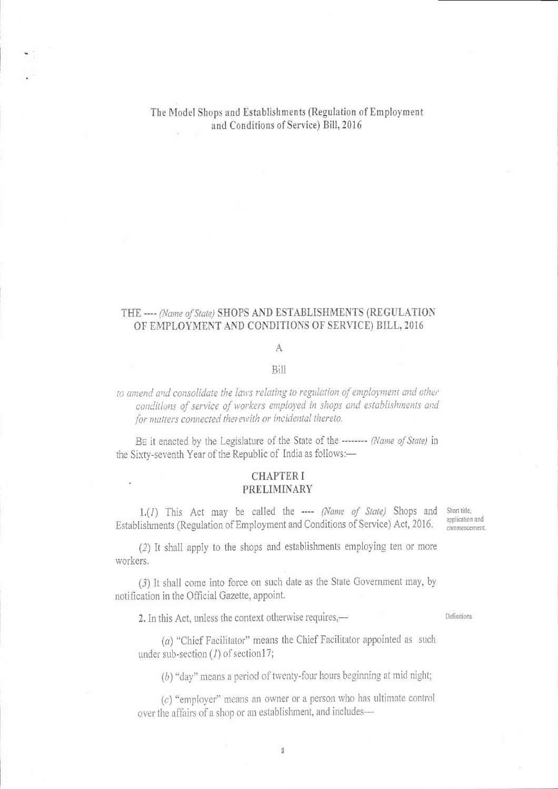The Model Shops and Establishments (Regulation of Employment and Conditions of Service) Bill, 2016

### THE ---- (Name of State) SHOPS AND ESTABLISHMENTS (REGULATION OF EMPLOYMENT AND CONDITIONS OF SERVICE) BILL, 2016

# A

#### Bill

## to amend and consolidate the laws relating to regulation of employment and other conditions of service of workers employed in shops and establishments and for matters connected therewith or incidental thereto.

BE it enacted by the Legislature of the State of the -------- (Name of State) in the Sixty-seventh Year of the Republic of India as follows:-

#### **CHAPTER I** PRELIMINARY

1.(1) This Act may be called the ---- (Name of State) Shops and Short title, Establishments (Regulation of Employment and Conditions of Service) Act, 2016.

application and commencement.

(2) It shall apply to the shops and establishments employing ten or more workers.

(3) It shall come into force on such date as the State Government may, by notification in the Official Gazette, appoint.

2. In this Act, unless the context otherwise requires,—

Definitions.

 $(a)$  "Chief Facilitator" means the Chief Facilitator appointed as such under sub-section  $(I)$  of section17;

(b) "day" means a period of twenty-four hours beginning at mid night;

 $(c)$  "employer" means an owner or a person who has ultimate control over the affairs of a shop or an establishment, and includes-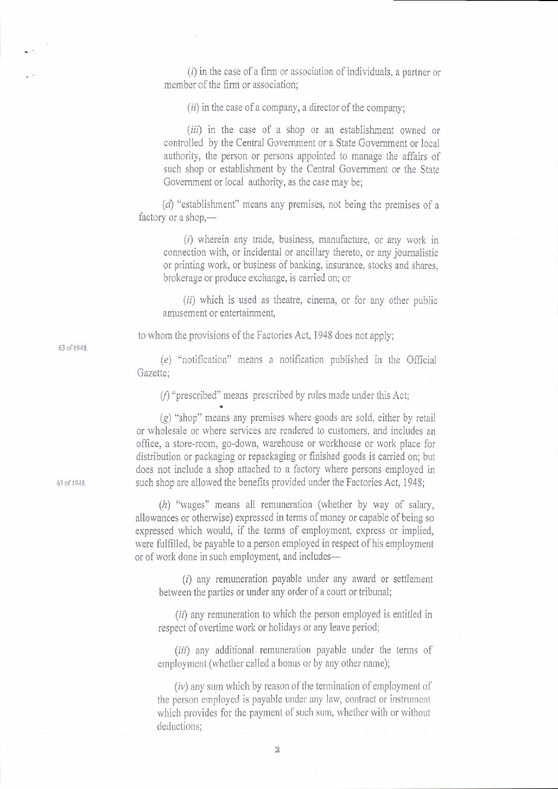$(i)$  in the case of a firm or association of individuals, a partner or member of the firm or association;

 $(ii)$  in the case of a company, a director of the company;

(iii) in the case of a shop or an establishment owned or controlled by the Central Government or a State Government or local authority, the person or persons appointed to manage the affairs of such shop or establishment by the Central Govemment or the State Government or local authority, as the case may be;

(d) "establishment" means any premises, not being the premises of <sup>a</sup> factory or a shop,-

 $(i)$  wherein any trade, business, manufacture, or any work in comection with, or incidental or ancillary thereto, or any joumalistic or printing work, or business of banking, insurance, stocks and shares, brokerage or produce exchange, is carried on; or

 $(ii)$  which is used as theatre, cinema, or for any other public amusement or entertainment,

to whom the provisions of the Factories Act, 1948 does not apply;

 $(e)$  "notification" means a notification published in the Official Gazette:

 $(f)$  "prescribed" means prescribed by rules made under this Act;

 $(g)$  "shop" means any premises where goods are sold, either by retail or wholesale or where services are rendered to customers, and includes an office, a store-room, go-down, warehouse or workhouse or work place for distribution or packaging or repackaging or finished goods is carried on; but does not include a shop attached to a factory where persons employed in such shop are allowed the benefits provided under the Factories Act, 1948;

 $(h)$  "wages" means all remuneration (whether by way of salary, allowances or otherwise) expressed in terms of money or capable of being so expressed which would, if the terms of employment, express or implied, were fulfilled, be payable to a person employed in respect of his employment of of work done in such employment, and includes-

(i) any remuneration payable under any award or settlement between the parties or under any order of a court or tribunal;

 $(ii)$  any remuneration to which the person employed is entitled in respect of overtime work or holidays or any leave period;

 $(iii)$  any additional remuneration payable under the terms of employment (whether called a bonus or by any other name);

 $(iv)$  any sum which by reason of the termination of employment of the person employed is payable under any law, contract or instrument which provides for the payment of such sum, whether with or without deductions:

63 of 1943.

63 of 191S.